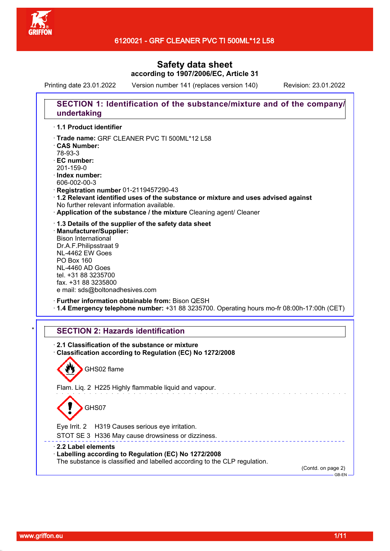

Printing date 23.01.2022 Version number 141 (replaces version 140) Revision: 23.01.2022

# **SECTION 1: Identification of the substance/mixture and of the company/ undertaking** · **1.1 Product identifier**

- · Trade name: GRF CLEANER PVC TI 500ML\*12 L58
- · **CAS Number:**
- 78-93-3
- · **EC number:**
- 201-159-0
- · **Index number:**
- 606-002-00-3
- · **Registration number** 01-2119457290-43
- · **1.2 Relevant identified uses of the substance or mixture and uses advised against** No further relevant information available.
- · **Application of the substance / the mixture** Cleaning agent/ Cleaner
- · **1.3 Details of the supplier of the safety data sheet**
- · **Manufacturer/Supplier:** Bison International Dr.A.F.Philipsstraat 9 NL-4462 EW Goes PO Box 160 NL-4460 AD Goes tel. +31 88 3235700 fax. +31 88 3235800 e mail: sds@boltonadhesives.com
- · **Further information obtainable from:** Bison QESH · **1.4 Emergency telephone number:** +31 88 3235700. Operating hours mo-fr 08:00h-17:00h (CET)

## **SECTION 2: Hazards identification**

· **2.1 Classification of the substance or mixture** · **Classification according to Regulation (EC) No 1272/2008** GHS02 flame Flam. Liq. 2 H225 Highly flammable liquid and vapour. GHS07 Eye Irrit. 2 H319 Causes serious eye irritation. STOT SE 3 H336 May cause drowsiness or dizziness. · **2.2 Label elements** · **Labelling according to Regulation (EC) No 1272/2008** The substance is classified and labelled according to the CLP regulation. (Contd. on page 2)  $-$ GB-EN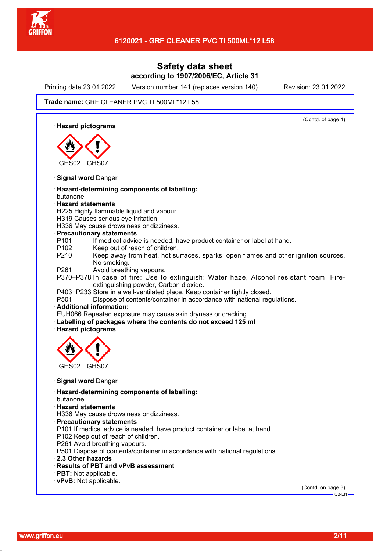

Printing date 23.01.2022 Version number 141 (replaces version 140) Revision: 23.01.2022

(Contd. of page 1)

#### Trade name: GRF CLEANER PVC TI 500ML\*12 L58

· **Hazard pictograms**



- · **Signal word** Danger
- · **Hazard-determining components of labelling:** butanone
- · **Hazard statements**
- H225 Highly flammable liquid and vapour.
- H319 Causes serious eye irritation.
- H336 May cause drowsiness or dizziness.
- · **Precautionary statements**
- P101 If medical advice is needed, have product container or label at hand.
- P102 Keep out of reach of children.
- P210 Keep away from heat, hot surfaces, sparks, open flames and other ignition sources. No smoking.
- P261 Avoid breathing vapours.
- P370+P378 In case of fire: Use to extinguish: Water haze, Alcohol resistant foam, Fireextinguishing powder, Carbon dioxide.
- P403+P233 Store in a well-ventilated place. Keep container tightly closed.
- P501 Dispose of contents/container in accordance with national regulations.

### · **Additional information:**

EUH066 Repeated exposure may cause skin dryness or cracking.

- Labelling of packages where the contents do not exceed 125 ml
- · **Hazard pictograms**



- · **Signal word** Danger
- · **Hazard-determining components of labelling:**
- butanone
- · **Hazard statements**
- H336 May cause drowsiness or dizziness.
- · **Precautionary statements**
- P101 If medical advice is needed, have product container or label at hand.
- P102 Keep out of reach of children.
- P261 Avoid breathing vapours.
- P501 Dispose of contents/container in accordance with national regulations.
- · **2.3 Other hazards**
- · **Results of PBT and vPvB assessment**
- · **PBT:** Not applicable.
- · **vPvB:** Not applicable.

(Contd. on page 3) GB-EN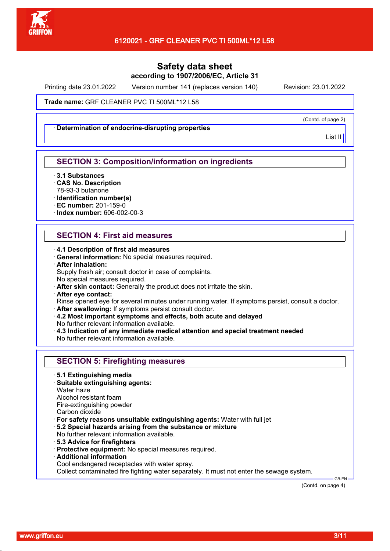

Printing date 23.01.2022 Version number 141 (replaces version 140) Revision: 23.01.2022

Trade name: GRF CLEANER PVC TI 500ML\*12 L58

· **Determination of endocrine-disrupting properties**

(Contd. of page 2)

List II

### **SECTION 3: Composition/information on ingredients**

- · **3.1 Substances**
- · **CAS No. Description**
- 78-93-3 butanone
- · **Identification number(s)**
- · **EC number:** 201-159-0
- · **Index number:** 606-002-00-3

### **SECTION 4: First aid measures**

- · **4.1 Description of first aid measures**
- · **General information:** No special measures required.
- · **After inhalation:**
- Supply fresh air; consult doctor in case of complaints. No special measures required.
- · **After skin contact:** Generally the product does not irritate the skin.
- · **After eye contact:**

Rinse opened eye for several minutes under running water. If symptoms persist, consult a doctor. · **After swallowing:** If symptoms persist consult doctor.

- · **4.2 Most important symptoms and effects, both acute and delayed**
- No further relevant information available.
- · **4.3 Indication of any immediate medical attention and special treatment needed** No further relevant information available.

|  | <b>SECTION 5: Firefighting measures</b> |  |
|--|-----------------------------------------|--|
|--|-----------------------------------------|--|

- · **5.1 Extinguishing media**
- · **Suitable extinguishing agents:**
- Water haze

Alcohol resistant foam

Fire-extinguishing powder

- Carbon dioxide
- · **For safety reasons unsuitable extinguishing agents:** Water with full jet
- · **5.2 Special hazards arising from the substance or mixture**
- No further relevant information available.
- · **5.3 Advice for firefighters**
- · **Protective equipment:** No special measures required.
- · **Additional information**
- Cool endangered receptacles with water spray.

Collect contaminated fire fighting water separately. It must not enter the sewage system.

(Contd. on page 4)

 $-$ GB-EN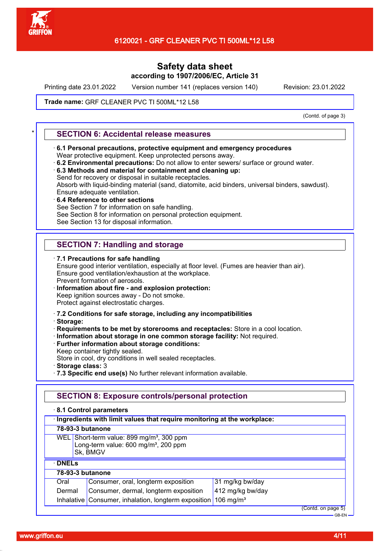

Printing date 23.01.2022 Version number 141 (replaces version 140) Revision: 23.01.2022

#### Trade name: GRF CLEANER PVC TI 500ML\*12 L58

(Contd. of page 3)

### \* **SECTION 6: Accidental release measures**

- · **6.1 Personal precautions, protective equipment and emergency procedures** Wear protective equipment. Keep unprotected persons away.
- · **6.2 Environmental precautions:** Do not allow to enter sewers/ surface or ground water.
- · **6.3 Methods and material for containment and cleaning up:** Send for recovery or disposal in suitable receptacles. Absorb with liquid-binding material (sand, diatomite, acid binders, universal binders, sawdust).
- Ensure adequate ventilation. · **6.4 Reference to other sections**
- See Section 7 for information on safe handling.

See Section 8 for information on personal protection equipment.

See Section 13 for disposal information.

## **SECTION 7: Handling and storage**

· **7.1 Precautions for safe handling** Ensure good interior ventilation, especially at floor level. (Fumes are heavier than air). Ensure good ventilation/exhaustion at the workplace. Prevent formation of aerosols. · **Information about fire - and explosion protection:**

Keep ignition sources away - Do not smoke.

Protect against electrostatic charges.

- · **7.2 Conditions for safe storage, including any incompatibilities**
- · **Storage:**
- · **Requirements to be met by storerooms and receptacles:** Store in a cool location.
- · **Information about storage in one common storage facility:** Not required.
- · **Further information about storage conditions:**
- Keep container tightly sealed.

Store in cool, dry conditions in well sealed receptacles.

- · **Storage class:** 3
- · **7.3 Specific end use(s)** No further relevant information available.

### **SECTION 8: Exposure controls/personal protection**

· **8.1 Control parameters**

| 78-93-3 butanone<br>WEL Short-term value: 899 mg/m <sup>3</sup> , 300 ppm<br>Long-term value: 600 mg/m <sup>3</sup> , 200 ppm<br>Sk, BMGV<br>$\cdot$ DNELs<br>78-93-3 butanone | · Ingredients with limit values that require monitoring at the workplace: |                                   |  |
|--------------------------------------------------------------------------------------------------------------------------------------------------------------------------------|---------------------------------------------------------------------------|-----------------------------------|--|
|                                                                                                                                                                                |                                                                           |                                   |  |
|                                                                                                                                                                                |                                                                           |                                   |  |
|                                                                                                                                                                                |                                                                           |                                   |  |
|                                                                                                                                                                                |                                                                           |                                   |  |
|                                                                                                                                                                                | Consumer, oral, longterm exposition<br>Oral                               | 31 mg/kg bw/day                   |  |
| 412 mg/kg bw/day<br>Consumer, dermal, longterm exposition<br>Dermal                                                                                                            |                                                                           |                                   |  |
| Inhalative   Consumer, inhalation, longterm exposition  <br>106 mg/m <sup>3</sup>                                                                                              |                                                                           |                                   |  |
|                                                                                                                                                                                |                                                                           | (Contd. on page 5)<br>$-$ GB-FN - |  |

www.griffon.eu **4/11**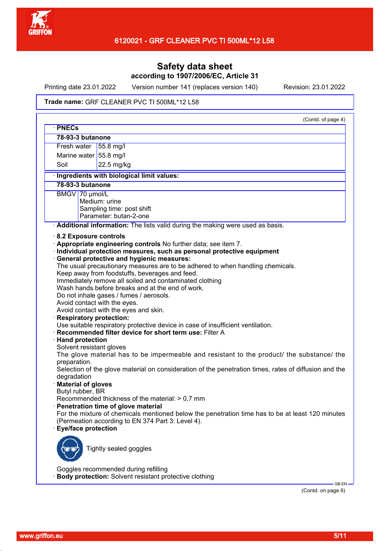

Printing date 23.01.2022 Version number 141 (replaces version 140) Revision: 23.01.2022

#### Trade name: GRF CLEANER PVC TI 500ML\*12 L58

| · PNECs                    | (Contd. of page 4)                                                                                    |
|----------------------------|-------------------------------------------------------------------------------------------------------|
| 78-93-3 butanone           |                                                                                                       |
| Fresh water                | 55.8 mg/l                                                                                             |
| Marine water 55.8 mg/l     |                                                                                                       |
| Soil                       | 22.5 mg/kg                                                                                            |
|                            |                                                                                                       |
|                            | · Ingredients with biological limit values:                                                           |
| 78-93-3 butanone           |                                                                                                       |
| BMGV 70 µmol/L             |                                                                                                       |
|                            | Medium: urine                                                                                         |
|                            | Sampling time: post shift                                                                             |
|                            | Parameter: butan-2-one                                                                                |
|                            | Additional information: The lists valid during the making were used as basis.                         |
| 8.2 Exposure controls      |                                                                                                       |
|                            | Appropriate engineering controls No further data; see item 7.                                         |
|                            | · Individual protection measures, such as personal protective equipment                               |
|                            | · General protective and hygienic measures:                                                           |
|                            | The usual precautionary measures are to be adhered to when handling chemicals.                        |
|                            | Keep away from foodstuffs, beverages and feed.                                                        |
|                            | Immediately remove all soiled and contaminated clothing                                               |
|                            | Wash hands before breaks and at the end of work.                                                      |
|                            | Do not inhale gases / fumes / aerosols.                                                               |
|                            | Avoid contact with the eyes.                                                                          |
|                            | Avoid contact with the eyes and skin.                                                                 |
| · Respiratory protection:  |                                                                                                       |
|                            | Use suitable respiratory protective device in case of insufficient ventilation.                       |
|                            | · Recommended filter device for short term use: Filter A                                              |
| · Hand protection          |                                                                                                       |
| Solvent resistant gloves   |                                                                                                       |
|                            | The glove material has to be impermeable and resistant to the product/ the substance/ the             |
| preparation.               |                                                                                                       |
|                            | Selection of the glove material on consideration of the penetration times, rates of diffusion and the |
| degradation                |                                                                                                       |
| · Material of gloves       |                                                                                                       |
| Butyl rubber, BR           |                                                                                                       |
|                            | Recommended thickness of the material: > 0,7 mm                                                       |
|                            | · Penetration time of glove material                                                                  |
|                            | For the mixture of chemicals mentioned below the penetration time has to be at least 120 minutes      |
|                            | (Permeation according to EN 374 Part 3: Level 4).                                                     |
| <b>Eye/face protection</b> |                                                                                                       |
|                            |                                                                                                       |
|                            |                                                                                                       |
|                            | Tightly sealed goggles                                                                                |
|                            |                                                                                                       |
|                            |                                                                                                       |
|                            | Goggles recommended during refilling                                                                  |
|                            | <b>Body protection:</b> Solvent resistant protective clothing                                         |

(Contd. on page 6)

GB-EN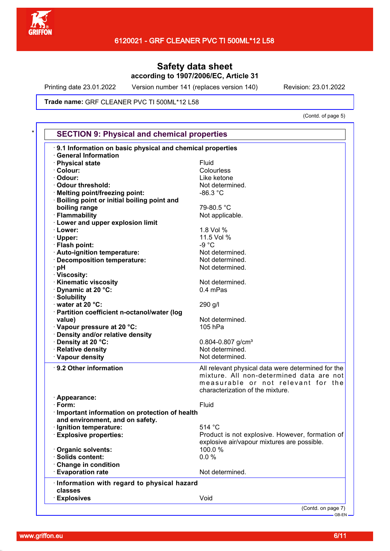

Printing date 23.01.2022 Version number 141 (replaces version 140) Revision: 23.01.2022

#### Trade name: GRF CLEANER PVC TI 500ML\*12 L58

(Contd. of page 5)

| 9.1 Information on basic physical and chemical properties  |                                                      |
|------------------------------------------------------------|------------------------------------------------------|
| <b>General Information</b>                                 | Fluid                                                |
| · Physical state<br>· Colour:                              | Colourless                                           |
| · Odour:                                                   | Like ketone                                          |
| Odour threshold:                                           | Not determined.                                      |
| Melting point/freezing point:                              | $-86.3 °C$                                           |
|                                                            |                                                      |
| <b>Boiling point or initial boiling point and</b>          | 79-80.5 °C                                           |
| boiling range                                              |                                                      |
| · Flammability                                             | Not applicable.                                      |
| <b>Lower and upper explosion limit</b><br>· Lower:         | 1.8 Vol %                                            |
|                                                            |                                                      |
| · Upper:                                                   | 11.5 Vol %<br>$-9 °C$                                |
| · Flash point:                                             |                                                      |
| · Auto-ignition temperature:                               | Not determined.                                      |
| Decomposition temperature:                                 | Not determined.<br>Not determined.                   |
| ∴pH                                                        |                                                      |
| · Viscosity:                                               | Not determined.                                      |
| · Kinematic viscosity                                      | 0.4 mPas                                             |
| Dynamic at 20 °C:                                          |                                                      |
| · Solubility                                               |                                                      |
| water at 20 °C:                                            | 290 g/l                                              |
| · Partition coefficient n-octanol/water (log               | Not determined.                                      |
| value)                                                     |                                                      |
| · Vapour pressure at 20 °C:                                | 105 hPa                                              |
| · Density and/or relative density                          |                                                      |
| Density at 20 °C:<br>· Relative density                    | $0.804 - 0.807$ g/cm <sup>3</sup><br>Not determined. |
| · Vapour density                                           | Not determined.                                      |
|                                                            |                                                      |
| 9.2 Other information                                      | All relevant physical data were determined for the   |
|                                                            | mixture. All non-determined data are not             |
|                                                            | measurable or not relevant for the                   |
|                                                            | characterization of the mixture.                     |
| · Appearance:<br>$\cdot$ Form:                             | Fluid                                                |
|                                                            |                                                      |
| Important information on protection of health              |                                                      |
| and environment, and on safety.<br>· Ignition temperature: | 514 °C                                               |
| · Explosive properties:                                    | Product is not explosive. However, formation of      |
|                                                            | explosive air/vapour mixtures are possible.          |
| Organic solvents:                                          | 100.0%                                               |
| · Solids content:                                          | 0.0 %                                                |
| Change in condition                                        |                                                      |
| <b>Evaporation rate</b>                                    | Not determined.                                      |
|                                                            |                                                      |
| Information with regard to physical hazard<br>classes      |                                                      |
|                                                            |                                                      |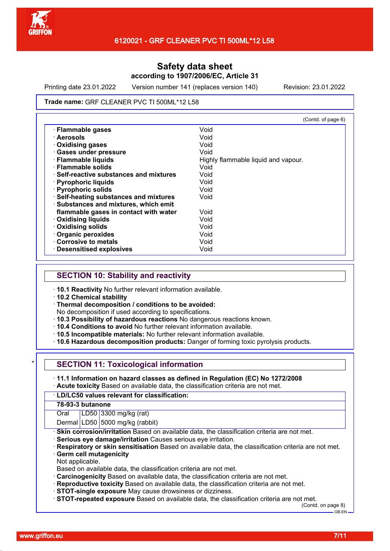

Printing date 23.01.2022 Version number 141 (replaces version 140) Revision: 23.01.2022

#### Trade name: GRF CLEANER PVC TI 500ML\*12 L58

|                                         | (Contd. of page 6)                  |
|-----------------------------------------|-------------------------------------|
| · Flammable gases                       | Void                                |
| ∙ Aerosols                              | Void                                |
| Oxidising gases                         | Void                                |
| · Gases under pressure                  | Void                                |
| · Flammable liquids                     | Highly flammable liquid and vapour. |
| $\cdot$ Flammable solids                | Void                                |
| · Self-reactive substances and mixtures | Void                                |
| · Pyrophoric liquids                    | Void                                |
| · Pyrophoric solids                     | Void                                |
| · Self-heating substances and mixtures  | Void                                |
| · Substances and mixtures, which emit   |                                     |
| flammable gases in contact with water   | Void                                |
| · Oxidising liquids                     | Void                                |
| <b>Oxidising solids</b>                 | Void                                |
| Organic peroxides                       | Void                                |
| Corrosive to metals                     | Void                                |
| · Desensitised explosives               | Void                                |

### **SECTION 10: Stability and reactivity**

- · **10.1 Reactivity** No further relevant information available.
- · **10.2 Chemical stability**
- · **Thermal decomposition / conditions to be avoided:**

No decomposition if used according to specifications.

- · **10.3 Possibility of hazardous reactions** No dangerous reactions known.
- · **10.4 Conditions to avoid** No further relevant information available.
- · **10.5 Incompatible materials:** No further relevant information available.

· **10.6 Hazardous decomposition products:** Danger of forming toxic pyrolysis products.

### **SECTION 11: Toxicological information**

· **11.1 Information on hazard classes as defined in Regulation (EC) No 1272/2008** · **Acute toxicity** Based on available data, the classification criteria are not met.

#### · **LD/LC50 values relevant for classification:**

#### **78-93-3 butanone**

Oral LD50 3300 mg/kg (rat)

Dermal LD50 5000 mg/kg (rabbit)

· **Skin corrosion/irritation** Based on available data, the classification criteria are not met.

- · **Serious eye damage/irritation** Causes serious eye irritation.
- · **Respiratory or skin sensitisation** Based on available data, the classification criteria are not met.
- **Germ cell mutagenicity**

Not applicable.

Based on available data, the classification criteria are not met.

- · **Carcinogenicity** Based on available data, the classification criteria are not met.
- · **Reproductive toxicity** Based on available data, the classification criteria are not met.
- · **STOT-single exposure** May cause drowsiness or dizziness.

· **STOT-repeated exposure** Based on available data, the classification criteria are not met.

(Contd. on page 8) GB-EN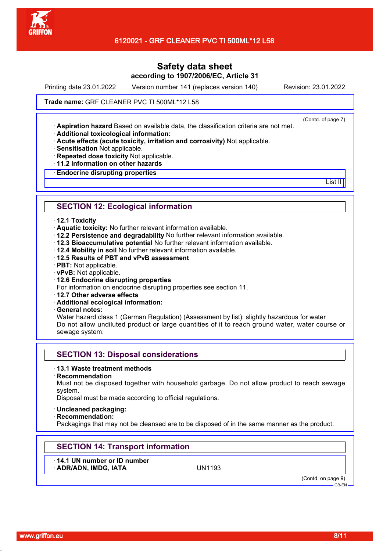

Printing date 23.01.2022 Version number 141 (replaces version 140) Revision: 23.01.2022

(Contd. of page 7)

List II<sup>I</sup>

#### Trade name: GRF CLEANER PVC TI 500ML\*12 L58

· **Aspiration hazard** Based on available data, the classification criteria are not met.

· **Additional toxicological information:**

· **Acute effects (acute toxicity, irritation and corrosivity)** Not applicable.

· **Sensitisation** Not applicable.

- · **Repeated dose toxicity** Not applicable.
- · **11.2 Information on other hazards**

· **Endocrine disrupting properties**

### **SECTION 12: Ecological information**

#### · **12.1 Toxicity**

- · **Aquatic toxicity:** No further relevant information available.
- · **12.2 Persistence and degradability** No further relevant information available.
- · **12.3 Bioaccumulative potential** No further relevant information available.
- · **12.4 Mobility in soil** No further relevant information available.
- · **12.5 Results of PBT and vPvB assessment**
- · **PBT:** Not applicable.
- · **vPvB:** Not applicable.
- · **12.6 Endocrine disrupting properties**

For information on endocrine disrupting properties see section 11.

- · **12.7 Other adverse effects**
- · **Additional ecological information:**

· **General notes:**

Water hazard class 1 (German Regulation) (Assessment by list): slightly hazardous for water Do not allow undiluted product or large quantities of it to reach ground water, water course or sewage system.

### **SECTION 13: Disposal considerations**

### · **13.1 Waste treatment methods**

· **Recommendation**

Must not be disposed together with household garbage. Do not allow product to reach sewage system.

Disposal must be made according to official regulations.

#### · **Uncleaned packaging:**

· **Recommendation:**

Packagings that may not be cleansed are to be disposed of in the same manner as the product.

## **SECTION 14: Transport information**

· **14.1 UN number or ID number**

· **ADR/ADN, IMDG, IATA** UN1193

(Contd. on page 9)

GB-EN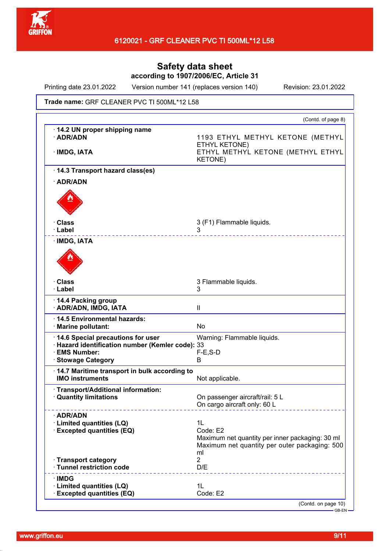

Printing date 23.01.2022 Version number 141 (replaces version 140) Revision: 23.01.2022

#### Trade name: GRF CLEANER PVC TI 500ML\*12 L58

|                                                                                                                              | (Contd. of page 8)                                                                                                       |
|------------------------------------------------------------------------------------------------------------------------------|--------------------------------------------------------------------------------------------------------------------------|
| 14.2 UN proper shipping name<br>· ADR/ADN<br>· IMDG, IATA                                                                    | 1193 ETHYL METHYL KETONE (METHYL<br>ETHYL KETONE)<br>ETHYL METHYL KETONE (METHYL ETHYL<br><b>KETONE)</b>                 |
| 14.3 Transport hazard class(es)                                                                                              |                                                                                                                          |
| · ADR/ADN                                                                                                                    |                                                                                                                          |
|                                                                                                                              |                                                                                                                          |
|                                                                                                                              |                                                                                                                          |
| · Class                                                                                                                      | 3 (F1) Flammable liquids.                                                                                                |
| · Label                                                                                                                      | 3                                                                                                                        |
| · IMDG, IATA                                                                                                                 |                                                                                                                          |
| · Class                                                                                                                      | 3 Flammable liquids.                                                                                                     |
| · Label                                                                                                                      | 3                                                                                                                        |
| 14.4 Packing group<br>· ADR/ADN, IMDG, IATA                                                                                  | $\mathbf{II}$                                                                                                            |
| 14.5 Environmental hazards:<br>· Marine pollutant:                                                                           | <b>No</b>                                                                                                                |
| 14.6 Special precautions for user<br>· Hazard identification number (Kemler code): 33<br>· EMS Number:<br>· Stowage Category | Warning: Flammable liquids.<br>$F-E$ , S-D<br>B                                                                          |
| 14.7 Maritime transport in bulk according to<br><b>IMO instruments</b>                                                       | Not applicable.                                                                                                          |
| · Transport/Additional information:<br><b>Quantity limitations</b>                                                           | On passenger aircraft/rail: 5 L<br>On cargo aircraft only: 60 L                                                          |
| · ADR/ADN<br>· Limited quantities (LQ)<br><b>Excepted quantities (EQ)</b>                                                    | 1L<br>Code: E2<br>Maximum net quantity per inner packaging: 30 ml<br>Maximum net quantity per outer packaging: 500<br>ml |
| · Transport category<br>· Tunnel restriction code                                                                            | $\overline{2}$<br>D/E                                                                                                    |
|                                                                                                                              |                                                                                                                          |
| $\cdot$ IMDG                                                                                                                 |                                                                                                                          |
| · Limited quantities (LQ)<br>· Excepted quantities (EQ)                                                                      | 1L<br>Code: E2                                                                                                           |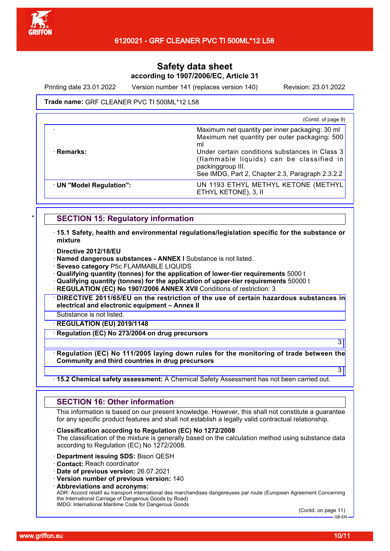

Printing date 23.01.2022 Version number 141 (replaces version 140) Revision: 23.01.2022

#### Trade name: GRF CLEANER PVC TI 500ML\*12 L58

|                        | (Contd. of page 9)                                                                                                                                                                                                                                                            |
|------------------------|-------------------------------------------------------------------------------------------------------------------------------------------------------------------------------------------------------------------------------------------------------------------------------|
| · Remarks:             | Maximum net quantity per inner packaging: 30 ml<br>Maximum net quantity per outer packaging: 500<br>ml<br>Under certain conditions substances in Class 3<br>(flammable liquids) can be classified in<br>packinggroup III.<br>See IMDG, Part 2, Chapter 2.3, Paragraph 2.3.2.2 |
| UN "Model Regulation": | UN 1193 ETHYL METHYL KETONE (METHYL<br>ETHYL KETONE), 3, II                                                                                                                                                                                                                   |

### **SECTION 15: Regulatory information**

· **15.1 Safety, health and environmental regulations/legislation specific for the substance or mixture**

- · **Directive 2012/18/EU**
- · **Named dangerous substances ANNEX I** Substance is not listed.
- · **Seveso category** P5c FLAMMABLE LIQUIDS

· **Qualifying quantity (tonnes) for the application of lower-tier requirements** 5000 t

· **Qualifying quantity (tonnes) for the application of upper-tier requirements** 50000 t

**REGULATION (EC) No 1907/2006 ANNEX XVII Conditions of restriction: 3** 

· **DIRECTIVE 2011/65/EU on the restriction of the use of certain hazardous substances in electrical and electronic equipment – Annex II**

Substance is not listed.

· **REGULATION (EU) 2019/1148**

· **Regulation (EC) No 273/2004 on drug precursors**

· **Regulation (EC) No 111/2005 laying down rules for the monitoring of trade between the Community and third countries in drug precursors**

#### · **15.2 Chemical safety assessment:** A Chemical Safety Assessment has not been carried out.

### **SECTION 16: Other information**

This information is based on our present knowledge. However, this shall not constitute a guarantee for any specific product features and shall not establish a legally valid contractual relationship.

· **Classification according to Regulation (EC) No 1272/2008**

The classification of the mixture is generally based on the calculation method using substance data according to Regulation (EC) No 1272/2008.

- · **Department issuing SDS:** Bison QESH
- · **Contact:** Reach coordinator
- · **Date of previous version:** 26.07.2021

· **Version number of previous version:** 140

· **Abbreviations and acronyms:**

ADR: Accord relatif au transport international des marchandises dangereuses par route (European Agreement Concerning the International Carriage of Dangerous Goods by Road) IMDG: International Maritime Code for Dangerous Goods

(Contd. on page 11) GB-EN

3

3